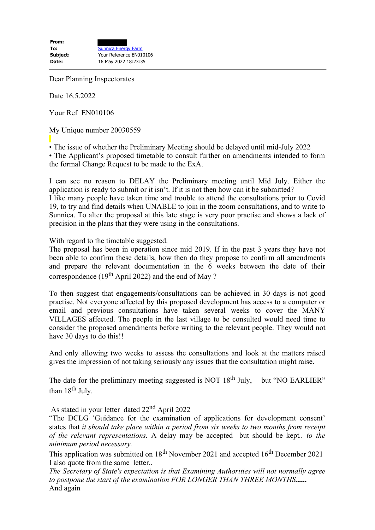Dear Planning Inspectorates

Date 16.5.2022

Your Ref EN010106

My Unique number 20030559

• The issue of whether the Preliminary Meeting should be delayed until mid-July 2022 • The Applicant's proposed timetable to consult further on amendments intended to form the formal Change Request to be made to the ExA.

I can see no reason to DELAY the Preliminary meeting until Mid July. Either the application is ready to submit or it isn't. If it is not then how can it be submitted? I like many people have taken time and trouble to attend the consultations prior to Covid 19, to try and find details when UNABLE to join in the zoom consultations, and to write to Sunnica. To alter the proposal at this late stage is very poor practise and shows a lack of precision in the plans that they were using in the consultations.

With regard to the timetable suggested.

The proposal has been in operation since mid 2019. If in the past 3 years they have not been able to confirm these details, how then do they propose to confirm all amendments and prepare the relevant documentation in the 6 weeks between the date of their correspondence ( $19<sup>th</sup>$  April 2022) and the end of May ?

To then suggest that engagements/consultations can be achieved in 30 days is not good practise. Not everyone affected by this proposed development has access to a computer or email and previous consultations have taken several weeks to cover the MANY VILLAGES affected. The people in the last village to be consulted would need time to consider the proposed amendments before writing to the relevant people. They would not have 30 days to do this!!

And only allowing two weeks to assess the consultations and look at the matters raised gives the impression of not taking seriously any issues that the consultation might raise.

The date for the preliminary meeting suggested is NOT  $18<sup>th</sup>$  July, but "NO EARLIER" than  $18<sup>th</sup>$  July.

As stated in your letter dated 22nd April 2022

"The DCLG 'Guidance for the examination of applications for development consent' states that *it should take place within a period from six weeks to two months from receipt of the relevant representations.* A delay may be accepted but should be kept*.. to the minimum period necessary.* 

This application was submitted on 18<sup>th</sup> November 2021 and accepted 16<sup>th</sup> December 2021 I also quote from the same letter..

*The Secretary of State's expectation is that Examining Authorities will not normally agree to postpone the start of the examination FOR LONGER THAN THREE MONTHS......* And again